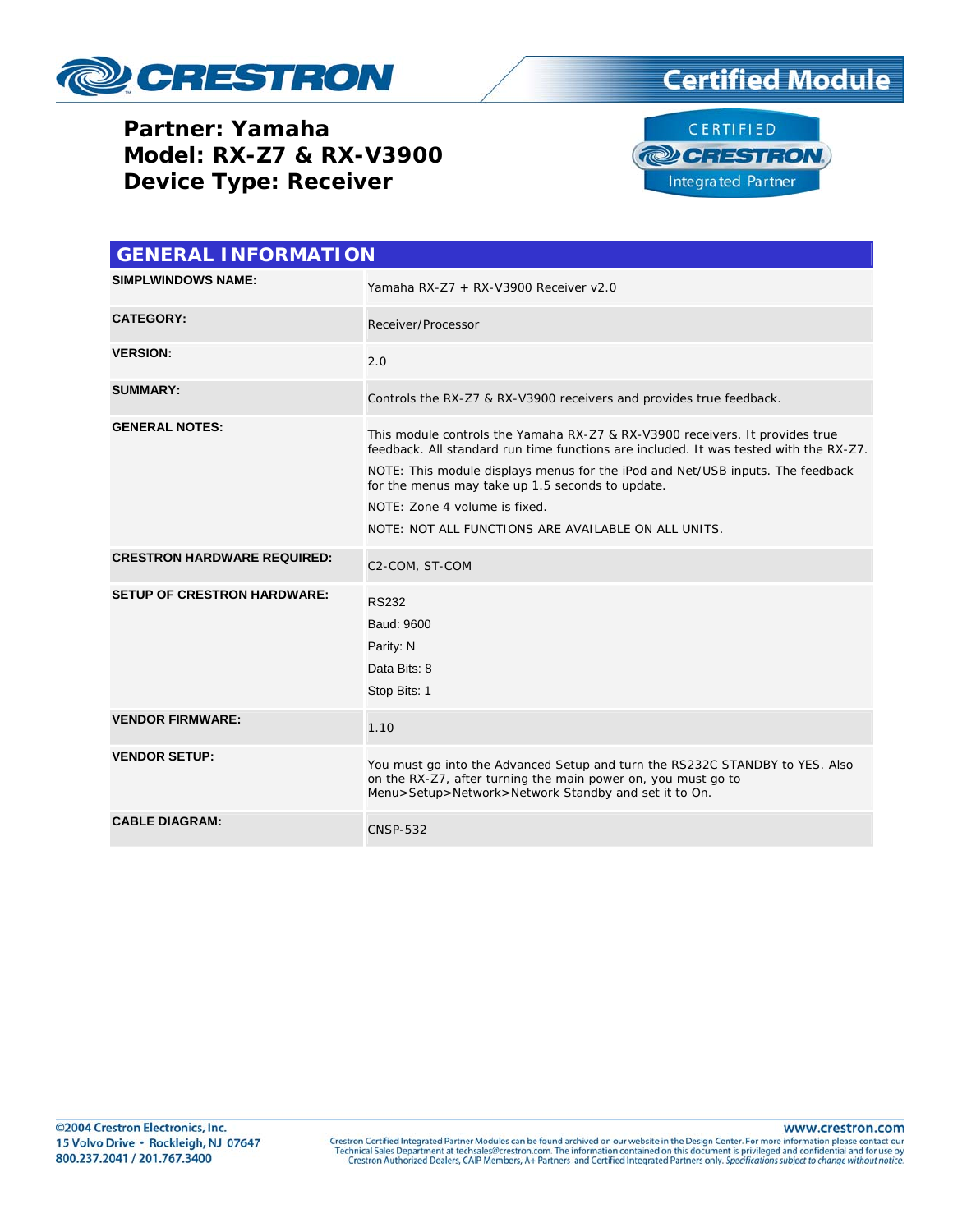

**Partner: Yamaha Model: RX-Z7 & RX-V3900 Device Type: Receiver** 





| <b>GENERAL INFORMATION</b>         |                                                                                                                                                                                                                                                                                                                                                                                                     |  |  |  |  |  |
|------------------------------------|-----------------------------------------------------------------------------------------------------------------------------------------------------------------------------------------------------------------------------------------------------------------------------------------------------------------------------------------------------------------------------------------------------|--|--|--|--|--|
| <b>SIMPLWINDOWS NAME:</b>          | Yamaha RX-Z7 + RX-V3900 Receiver v2.0                                                                                                                                                                                                                                                                                                                                                               |  |  |  |  |  |
| <b>CATEGORY:</b>                   | Receiver/Processor                                                                                                                                                                                                                                                                                                                                                                                  |  |  |  |  |  |
| <b>VERSION:</b>                    | 2.0                                                                                                                                                                                                                                                                                                                                                                                                 |  |  |  |  |  |
| <b>SUMMARY:</b>                    | Controls the RX-Z7 & RX-V3900 receivers and provides true feedback.                                                                                                                                                                                                                                                                                                                                 |  |  |  |  |  |
| <b>GENERAL NOTES:</b>              | This module controls the Yamaha RX-Z7 & RX-V3900 receivers. It provides true<br>feedback. All standard run time functions are included. It was tested with the RX-Z7.<br>NOTE: This module displays menus for the iPod and Net/USB inputs. The feedback<br>for the menus may take up 1.5 seconds to update.<br>NOTE: Zone 4 volume is fixed.<br>NOTE: NOT ALL FUNCTIONS ARE AVAILABLE ON ALL UNITS. |  |  |  |  |  |
| <b>CRESTRON HARDWARE REQUIRED:</b> | C2-COM, ST-COM                                                                                                                                                                                                                                                                                                                                                                                      |  |  |  |  |  |
| <b>SETUP OF CRESTRON HARDWARE:</b> | <b>RS232</b><br>Baud: 9600<br>Parity: N<br>Data Bits: 8<br>Stop Bits: 1                                                                                                                                                                                                                                                                                                                             |  |  |  |  |  |
| <b>VENDOR FIRMWARE:</b>            | 1.10                                                                                                                                                                                                                                                                                                                                                                                                |  |  |  |  |  |
| <b>VENDOR SETUP:</b>               | You must go into the Advanced Setup and turn the RS232C STANDBY to YES. Also<br>on the RX-Z7, after turning the main power on, you must go to<br>Menu>Setup>Network>Network Standby and set it to On.                                                                                                                                                                                               |  |  |  |  |  |
| <b>CABLE DIAGRAM:</b>              | <b>CNSP-532</b>                                                                                                                                                                                                                                                                                                                                                                                     |  |  |  |  |  |

www.crestron.com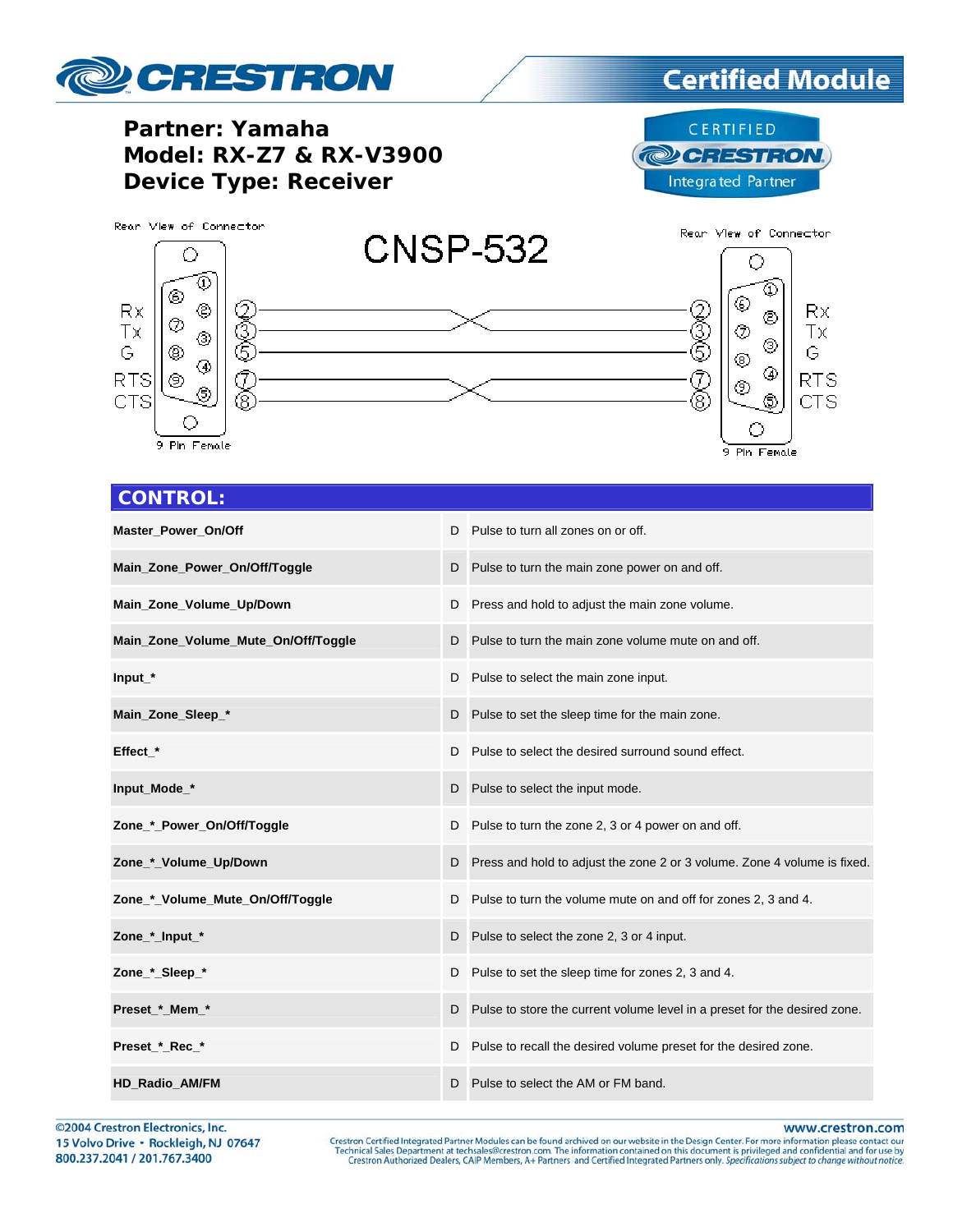

### **Certified Module**

**Partner: Yamaha Model: RX-Z7 & RX-V3900 Device Type: Receiver** 

CERTIFIED **@CRESTRON Integrated Partner** 



#### **CONTROL:**

| <b>Master Power On/Off</b>          |   | D Pulse to turn all zones on or off.                                        |
|-------------------------------------|---|-----------------------------------------------------------------------------|
| Main_Zone_Power_On/Off/Toggle       |   | D Pulse to turn the main zone power on and off.                             |
| Main_Zone_Volume_Up/Down            | D | Press and hold to adjust the main zone volume.                              |
| Main_Zone_Volume_Mute_On/Off/Toggle |   | D Pulse to turn the main zone volume mute on and off.                       |
| Input_*                             |   | D Pulse to select the main zone input.                                      |
| Main_Zone_Sleep_*                   |   | D Pulse to set the sleep time for the main zone.                            |
| Effect *                            |   | D Pulse to select the desired surround sound effect.                        |
| Input_Mode_*                        |   | D Pulse to select the input mode.                                           |
| Zone_*_Power_On/Off/Toggle          | D | Pulse to turn the zone 2, 3 or 4 power on and off.                          |
| Zone_*_Volume_Up/Down               |   | D Press and hold to adjust the zone 2 or 3 volume. Zone 4 volume is fixed.  |
| Zone_*_Volume_Mute_On/Off/Toggle    |   | D Pulse to turn the volume mute on and off for zones 2, 3 and 4.            |
| Zone_*_Input_*                      |   | D Pulse to select the zone 2, 3 or 4 input.                                 |
| Zone_*_Sleep_*                      | D | Pulse to set the sleep time for zones 2, 3 and 4.                           |
| Preset_*_Mem_*                      |   | D Pulse to store the current volume level in a preset for the desired zone. |
| Preset_*_Rec_*                      |   | D Pulse to recall the desired volume preset for the desired zone.           |
| <b>HD_Radio_AM/FM</b>               | D | Pulse to select the AM or FM band.                                          |

©2004 Crestron Electronics, Inc. 15 Volvo Drive · Rockleigh, NJ 07647 800.237.2041 / 201.767.3400

www.crestron.com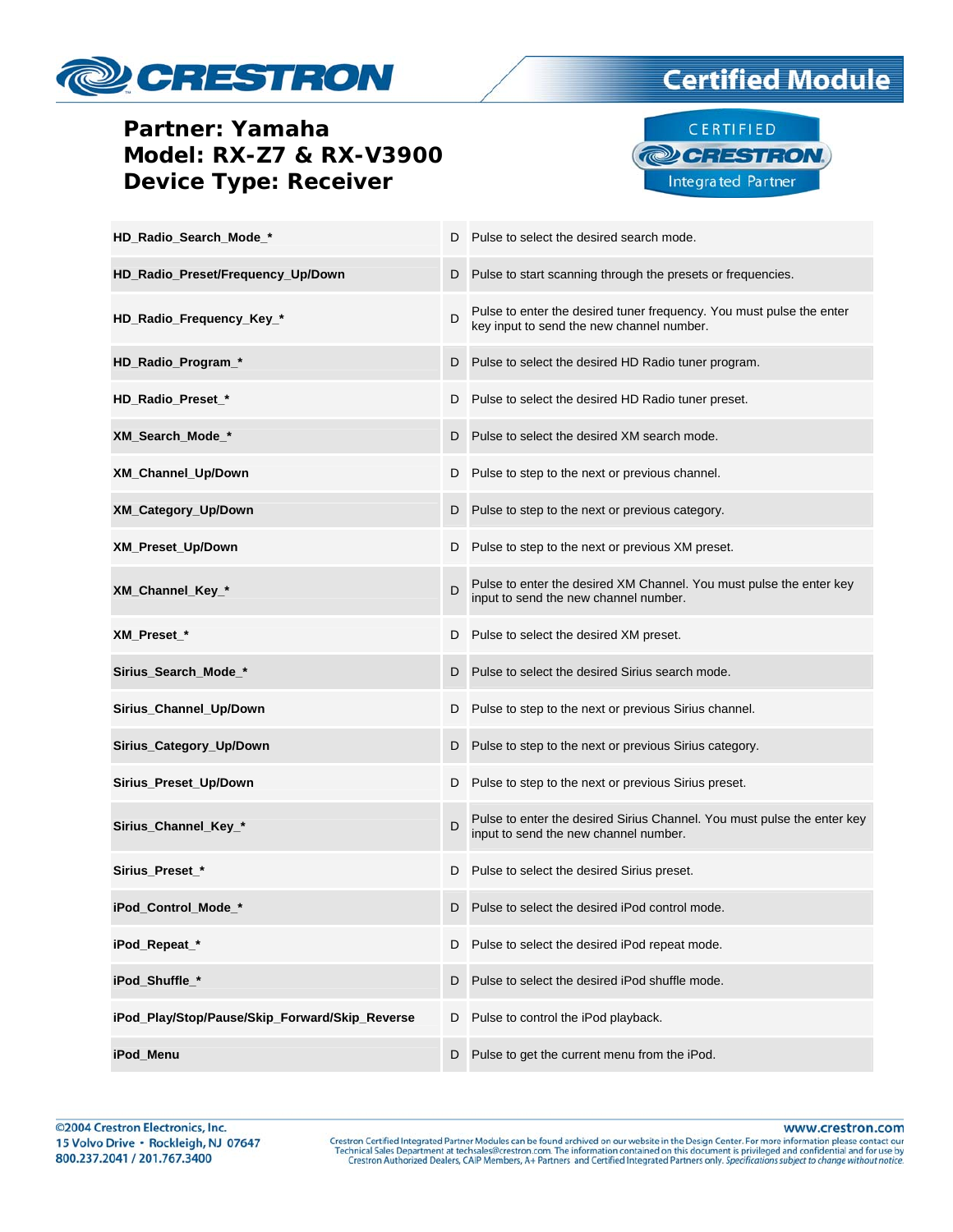

### **Partner: Yamaha Model: RX-Z7 & RX-V3900 Device Type: Receiver**



Integrated Partner

| HD_Radio_Search_Mode_*                         |   | D Pulse to select the desired search mode.                                                                        |
|------------------------------------------------|---|-------------------------------------------------------------------------------------------------------------------|
| HD_Radio_Preset/Frequency_Up/Down              | D | Pulse to start scanning through the presets or frequencies.                                                       |
| HD_Radio_Frequency_Key_*                       | D | Pulse to enter the desired tuner frequency. You must pulse the enter<br>key input to send the new channel number. |
| HD_Radio_Program_*                             |   | D Pulse to select the desired HD Radio tuner program.                                                             |
| HD Radio Preset *                              |   | D Pulse to select the desired HD Radio tuner preset.                                                              |
| XM_Search_Mode_*                               |   | D Pulse to select the desired XM search mode.                                                                     |
| XM_Channel_Up/Down                             | D | Pulse to step to the next or previous channel.                                                                    |
| XM_Category_Up/Down                            | D | Pulse to step to the next or previous category.                                                                   |
| XM_Preset_Up/Down                              | D | Pulse to step to the next or previous XM preset.                                                                  |
| XM_Channel_Key_*                               | D | Pulse to enter the desired XM Channel. You must pulse the enter key<br>input to send the new channel number.      |
| XM_Preset_*                                    | D | Pulse to select the desired XM preset.                                                                            |
| Sirius_Search_Mode_*                           | D | Pulse to select the desired Sirius search mode.                                                                   |
| Sirius_Channel_Up/Down                         | D | Pulse to step to the next or previous Sirius channel.                                                             |
| Sirius_Category_Up/Down                        |   | D Pulse to step to the next or previous Sirius category.                                                          |
| Sirius_Preset_Up/Down                          |   | D Pulse to step to the next or previous Sirius preset.                                                            |
| Sirius_Channel_Key_*                           | D | Pulse to enter the desired Sirius Channel. You must pulse the enter key<br>input to send the new channel number.  |
| Sirius_Preset_*                                | D | Pulse to select the desired Sirius preset.                                                                        |
| iPod_Control_Mode_*                            | D | Pulse to select the desired iPod control mode.                                                                    |
| iPod_Repeat_*                                  | D | Pulse to select the desired iPod repeat mode.                                                                     |
| iPod_Shuffle_*                                 | D | Pulse to select the desired iPod shuffle mode.                                                                    |
| iPod_Play/Stop/Pause/Skip_Forward/Skip_Reverse | D | Pulse to control the iPod playback.                                                                               |
| iPod Menu                                      | D | Pulse to get the current menu from the iPod.                                                                      |

www.crestron.com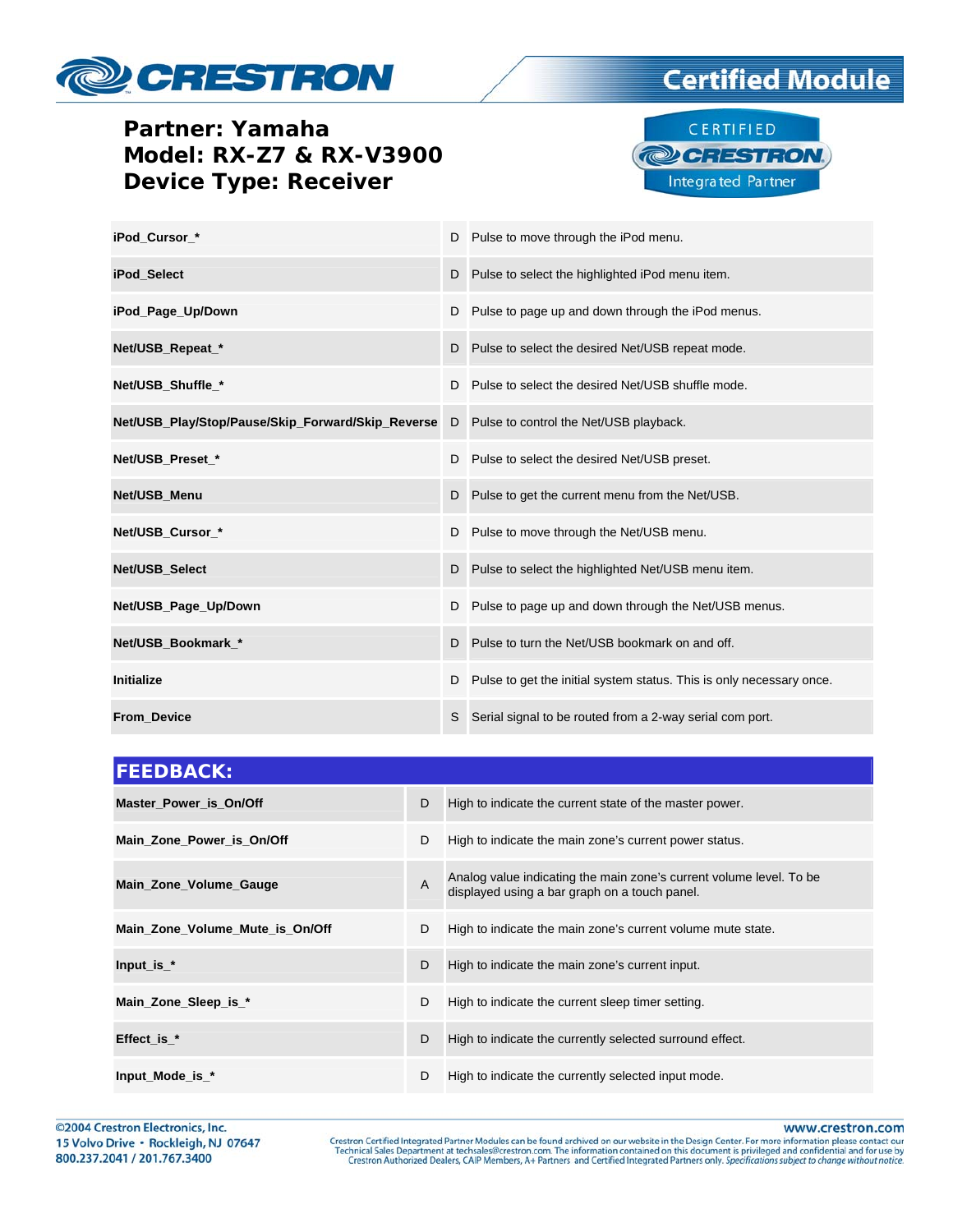

### **Certified Module**

#### **Partner: Yamaha Model: RX-Z7 & RX-V3900 Device Type: Receiver**



| iPod Cursor *                                     |    | D Pulse to move through the iPod menu.                                 |
|---------------------------------------------------|----|------------------------------------------------------------------------|
| iPod Select                                       |    | D Pulse to select the highlighted iPod menu item.                      |
| iPod_Page_Up/Down                                 |    | D Pulse to page up and down through the iPod menus.                    |
| Net/USB_Repeat_*                                  |    | D Pulse to select the desired Net/USB repeat mode.                     |
| Net/USB_Shuffle_*                                 | D. | Pulse to select the desired Net/USB shuffle mode.                      |
| Net/USB_Play/Stop/Pause/Skip_Forward/Skip_Reverse |    | D Pulse to control the Net/USB playback.                               |
| Net/USB_Preset_*                                  |    | D Pulse to select the desired Net/USB preset.                          |
| Net/USB Menu                                      |    | D Pulse to get the current menu from the Net/USB.                      |
| Net/USB_Cursor_*                                  |    | D Pulse to move through the Net/USB menu.                              |
| Net/USB_Select                                    |    | D Pulse to select the highlighted Net/USB menu item.                   |
| Net/USB_Page_Up/Down                              |    | D Pulse to page up and down through the Net/USB menus.                 |
| Net/USB Bookmark *                                |    | D Pulse to turn the Net/USB bookmark on and off.                       |
| <b>Initialize</b>                                 |    | D Pulse to get the initial system status. This is only necessary once. |
| <b>From Device</b>                                | S. | Serial signal to be routed from a 2-way serial com port.               |

| <b>FEEDBACK:</b>                |   |                                                                                                                      |
|---------------------------------|---|----------------------------------------------------------------------------------------------------------------------|
| Master Power is On/Off          | D | High to indicate the current state of the master power.                                                              |
| Main Zone Power is On/Off       | D | High to indicate the main zone's current power status.                                                               |
| Main_Zone_Volume_Gauge          | A | Analog value indicating the main zone's current volume level. To be<br>displayed using a bar graph on a touch panel. |
| Main Zone Volume Mute is On/Off | D | High to indicate the main zone's current volume mute state.                                                          |
| Input_is_ $*$                   | D | High to indicate the main zone's current input.                                                                      |
| Main_Zone_Sleep_is_*            | D | High to indicate the current sleep timer setting.                                                                    |
| Effect is *                     | D | High to indicate the currently selected surround effect.                                                             |
| Input_Mode_is_*                 | D | High to indicate the currently selected input mode.                                                                  |

www.crestron.com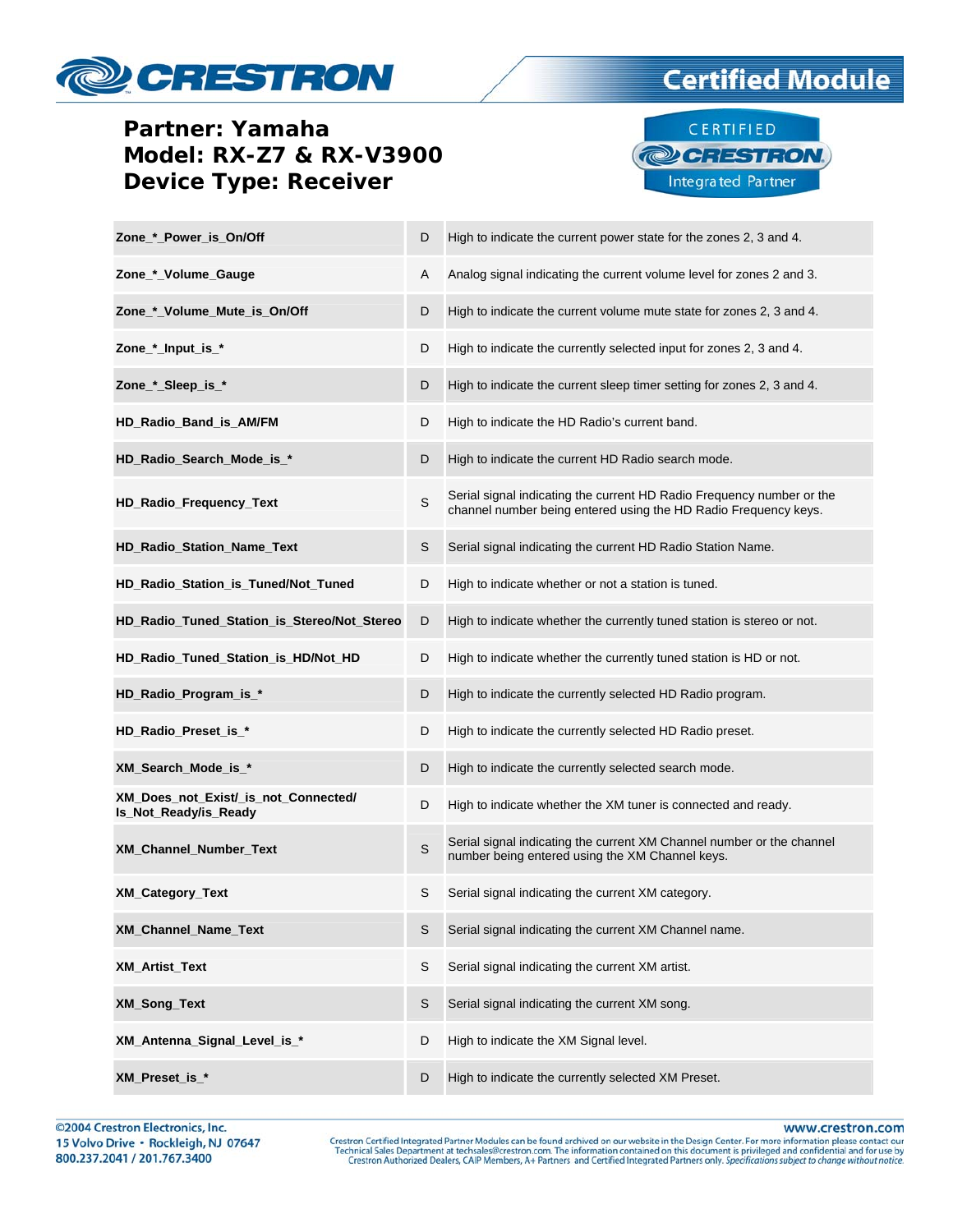## CRESTRON

#### **Partner: Yamaha Model: RX-Z7 & RX-V3900 Device Type: Receiver**



**Certified Module** 

| Zone_*_Power_is_On/Off                                        | D           | High to indicate the current power state for the zones 2, 3 and 4.                                                                       |
|---------------------------------------------------------------|-------------|------------------------------------------------------------------------------------------------------------------------------------------|
| Zone_*_Volume_Gauge                                           | A           | Analog signal indicating the current volume level for zones 2 and 3.                                                                     |
| Zone_*_Volume_Mute_is_On/Off                                  | D           | High to indicate the current volume mute state for zones 2, 3 and 4.                                                                     |
| Zone_*_Input_is_*                                             | D           | High to indicate the currently selected input for zones 2, 3 and 4.                                                                      |
| Zone_*_Sleep_is_*                                             | D           | High to indicate the current sleep timer setting for zones 2, 3 and 4.                                                                   |
| HD_Radio_Band_is_AM/FM                                        | D           | High to indicate the HD Radio's current band.                                                                                            |
| HD_Radio_Search_Mode_is_*                                     | D           | High to indicate the current HD Radio search mode.                                                                                       |
| HD_Radio_Frequency_Text                                       | S           | Serial signal indicating the current HD Radio Frequency number or the<br>channel number being entered using the HD Radio Frequency keys. |
| HD_Radio_Station_Name_Text                                    | S           | Serial signal indicating the current HD Radio Station Name.                                                                              |
| HD_Radio_Station_is_Tuned/Not_Tuned                           | D           | High to indicate whether or not a station is tuned.                                                                                      |
| HD_Radio_Tuned_Station_is_Stereo/Not_Stereo                   | D           | High to indicate whether the currently tuned station is stereo or not.                                                                   |
| HD_Radio_Tuned_Station_is_HD/Not_HD                           | D           | High to indicate whether the currently tuned station is HD or not.                                                                       |
| HD_Radio_Program_is_*                                         | D           | High to indicate the currently selected HD Radio program.                                                                                |
| HD_Radio_Preset_is_*                                          | D           | High to indicate the currently selected HD Radio preset.                                                                                 |
| XM_Search_Mode_is_*                                           | D           | High to indicate the currently selected search mode.                                                                                     |
| XM_Does_not_Exist/_is_not_Connected/<br>Is_Not_Ready/is_Ready | D           | High to indicate whether the XM tuner is connected and ready.                                                                            |
| XM_Channel_Number_Text                                        | $\mathsf S$ | Serial signal indicating the current XM Channel number or the channel<br>number being entered using the XM Channel keys.                 |
| <b>XM_Category_Text</b>                                       | S           | Serial signal indicating the current XM category.                                                                                        |
| XM_Channel_Name_Text                                          | S           | Serial signal indicating the current XM Channel name.                                                                                    |
| <b>XM_Artist_Text</b>                                         | S           | Serial signal indicating the current XM artist.                                                                                          |
| <b>XM Song Text</b>                                           | S           | Serial signal indicating the current XM song.                                                                                            |
| XM_Antenna_Signal_Level_is_*                                  | D           | High to indicate the XM Signal level.                                                                                                    |
| XM Preset is *                                                | D           | High to indicate the currently selected XM Preset.                                                                                       |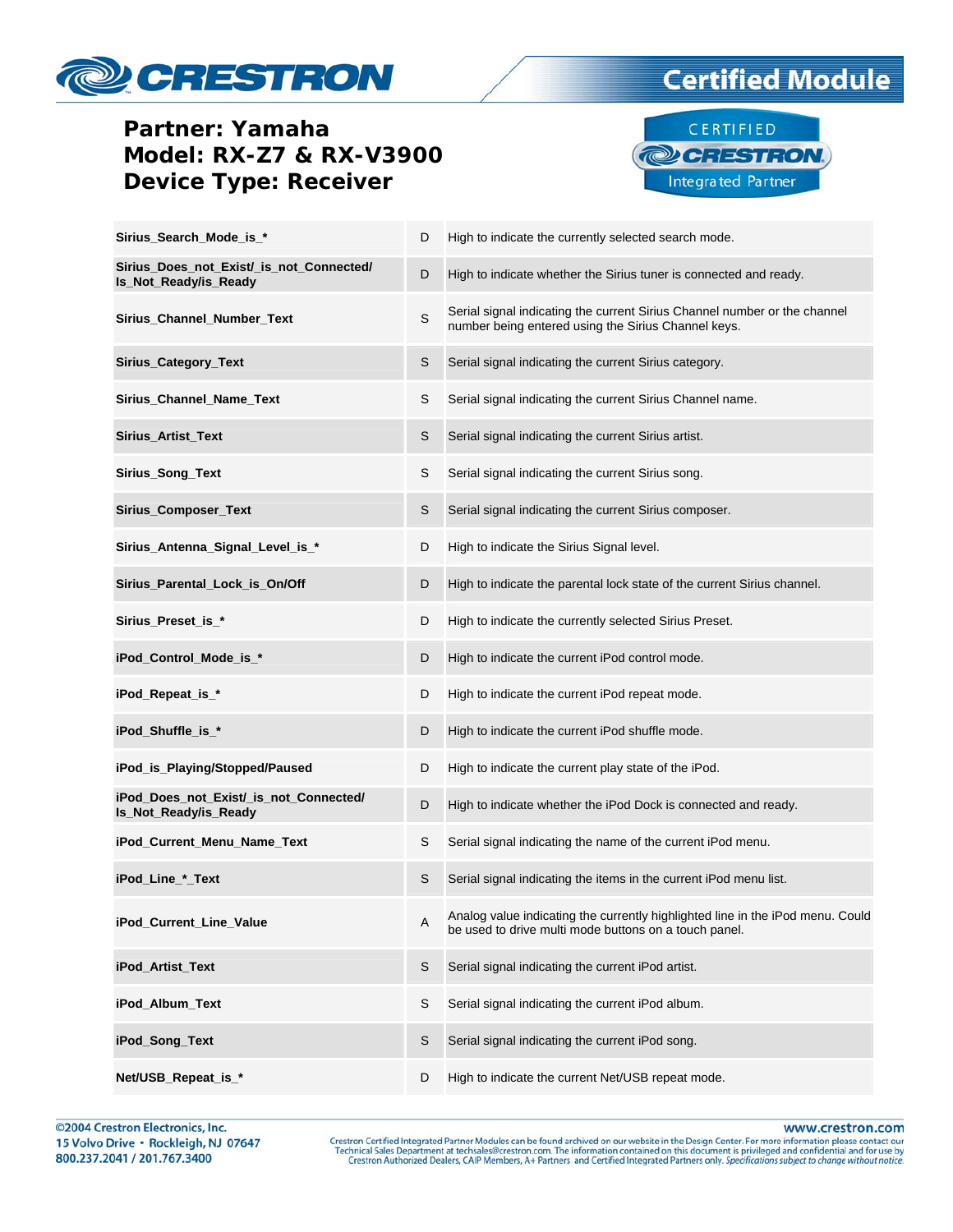## CRESTRON

#### **Partner: Yamaha Model: RX-Z7 & RX-V3900 Device Type: Receiver**



**Certified Module** 

| Sirius_Search_Mode_is_*                                           | D | High to indicate the currently selected search mode.                                                                                    |
|-------------------------------------------------------------------|---|-----------------------------------------------------------------------------------------------------------------------------------------|
| Sirius_Does_not_Exist/_is_not_Connected/<br>Is_Not_Ready/is_Ready | D | High to indicate whether the Sirius tuner is connected and ready.                                                                       |
| Sirius_Channel_Number_Text                                        | S | Serial signal indicating the current Sirius Channel number or the channel<br>number being entered using the Sirius Channel keys.        |
| Sirius_Category_Text                                              | S | Serial signal indicating the current Sirius category.                                                                                   |
| Sirius_Channel_Name_Text                                          | S | Serial signal indicating the current Sirius Channel name.                                                                               |
| Sirius_Artist_Text                                                | S | Serial signal indicating the current Sirius artist.                                                                                     |
| Sirius_Song_Text                                                  | S | Serial signal indicating the current Sirius song.                                                                                       |
| Sirius_Composer_Text                                              | S | Serial signal indicating the current Sirius composer.                                                                                   |
| Sirius_Antenna_Signal_Level_is_*                                  | D | High to indicate the Sirius Signal level.                                                                                               |
| Sirius_Parental_Lock_is_On/Off                                    | D | High to indicate the parental lock state of the current Sirius channel.                                                                 |
| Sirius_Preset_is_*                                                | D | High to indicate the currently selected Sirius Preset.                                                                                  |
| iPod_Control_Mode_is_*                                            | D | High to indicate the current iPod control mode.                                                                                         |
| iPod_Repeat_is_*                                                  | D | High to indicate the current iPod repeat mode.                                                                                          |
| iPod_Shuffle_is_*                                                 | D | High to indicate the current iPod shuffle mode.                                                                                         |
| iPod_is_Playing/Stopped/Paused                                    | D | High to indicate the current play state of the iPod.                                                                                    |
| iPod_Does_not_Exist/_is_not_Connected/<br>Is_Not_Ready/is_Ready   | D | High to indicate whether the iPod Dock is connected and ready.                                                                          |
| iPod_Current_Menu_Name_Text                                       | S | Serial signal indicating the name of the current iPod menu.                                                                             |
| iPod_Line_*_Text                                                  | S | Serial signal indicating the items in the current iPod menu list.                                                                       |
| iPod_Current_Line_Value                                           | A | Analog value indicating the currently highlighted line in the iPod menu. Could<br>be used to drive multi mode buttons on a touch panel. |
| iPod_Artist_Text                                                  | S | Serial signal indicating the current iPod artist.                                                                                       |
| iPod_Album_Text                                                   | S | Serial signal indicating the current iPod album.                                                                                        |
| iPod_Song_Text                                                    | S | Serial signal indicating the current iPod song.                                                                                         |
| Net/USB_Repeat_is_*                                               | D | High to indicate the current Net/USB repeat mode.                                                                                       |

www.crestron.com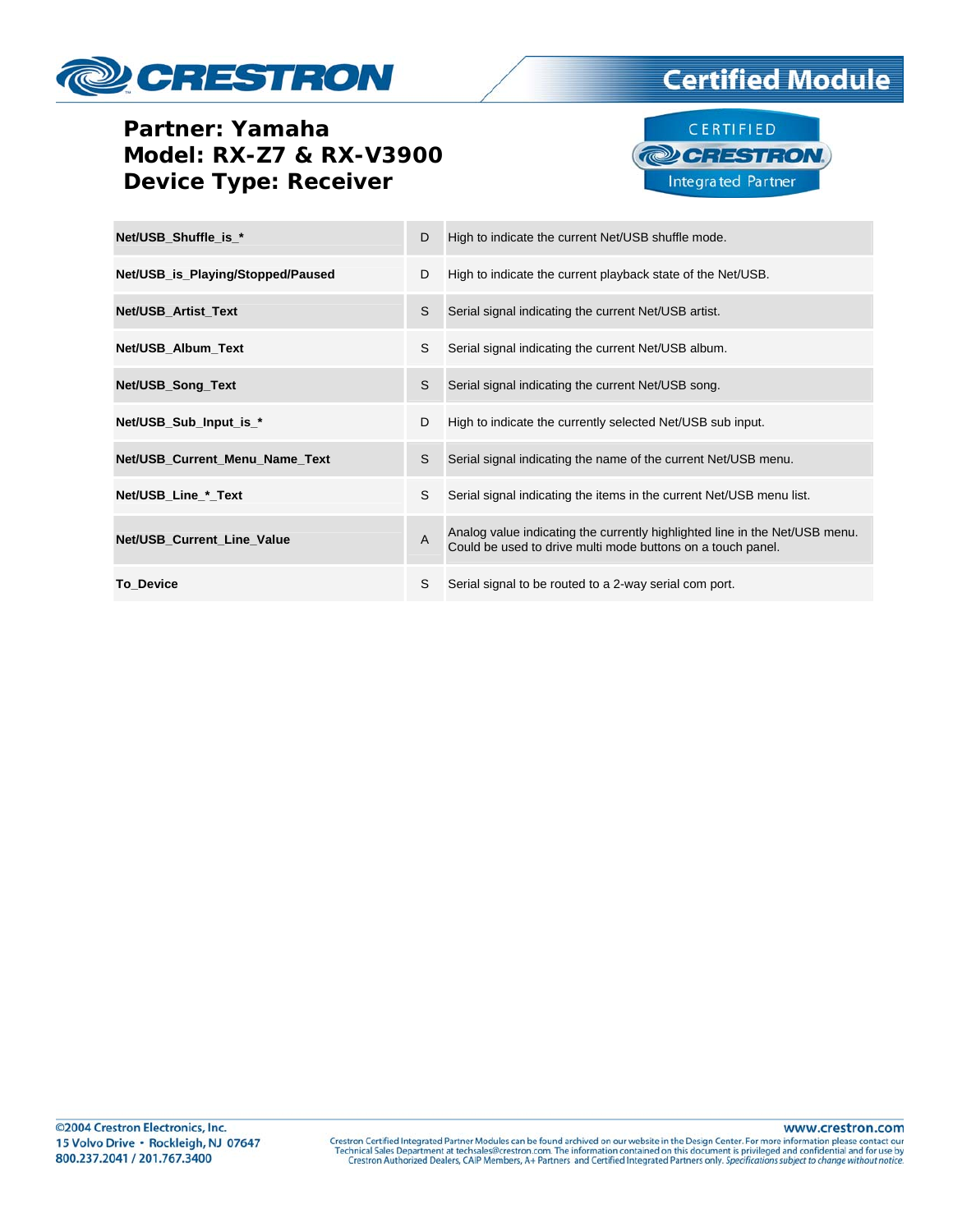# CRESTRON

### **Partner: Yamaha Model: RX-Z7 & RX-V3900 Device Type: Receiver**



**Certified Module** 

| Net/USB Shuffle is *              | D              | High to indicate the current Net/USB shuffle mode.                                                                                         |
|-----------------------------------|----------------|--------------------------------------------------------------------------------------------------------------------------------------------|
| Net/USB_is_Playing/Stopped/Paused | D              | High to indicate the current playback state of the Net/USB.                                                                                |
| <b>Net/USB Artist Text</b>        | S              | Serial signal indicating the current Net/USB artist.                                                                                       |
| Net/USB_Album_Text                | S              | Serial signal indicating the current Net/USB album.                                                                                        |
| Net/USB_Song_Text                 | S              | Serial signal indicating the current Net/USB song.                                                                                         |
| Net/USB_Sub_Input_is_*            | D              | High to indicate the currently selected Net/USB sub input.                                                                                 |
| Net/USB_Current_Menu_Name_Text    | S              | Serial signal indicating the name of the current Net/USB menu.                                                                             |
| Net/USB_Line_*_Text               | S              | Serial signal indicating the items in the current Net/USB menu list.                                                                       |
| Net/USB_Current_Line_Value        | $\overline{A}$ | Analog value indicating the currently highlighted line in the Net/USB menu.<br>Could be used to drive multi mode buttons on a touch panel. |
| <b>To Device</b>                  | S              | Serial signal to be routed to a 2-way serial com port.                                                                                     |